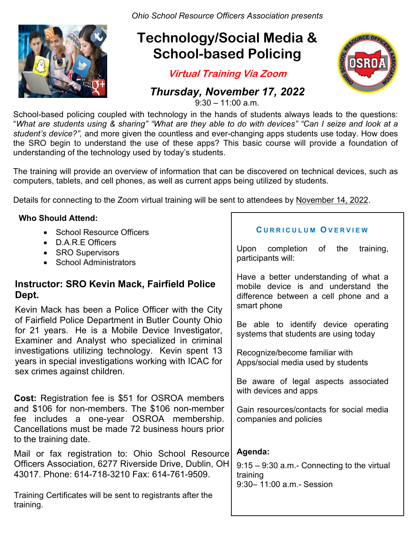*Ohio School Resource Officers Association presents*

# **Technology/Social Media & School-based Policing**

**Virtual Training Via Zoom**

### *Thursday, November 17, 2022*

 $9:30 - 11:00$  a.m.

Registration Deadline: Thursday November 10, 2022 "*What are students using & sharing" "What are they able to do with devices" "Can I seize and look at a*  School-based policing coupled with technology in the hands of students always leads to the questions: *student's device?",* and more given the countless and ever-changing apps students use today. How does the SRO begin to understand the use of these apps? This basic course will provide a foundation of understanding of the technology used by today's students.

 computers, tablets, and cell phones, as well as current apps being utilized by students. The training will provide an overview of information that can be discovered on technical devices, such as

Details for connecting to the Zoom virtual training will be sent to attendees by November 14, 2022.

#### **Who Should Attend:**

- School Resource Officers
- D.A.R.E Officers
- **SRO Supervisors**
- School Administrators

### **Instructor: SRO Kevin Mack, Fairfield Police Dept.**

 for 21 years. He is a Mobile Device Investigator, Kevin Mack has been a Police Officer with the City of Fairfield Police Department in Butler County Ohio Examiner and Analyst who specialized in criminal investigations utilizing technology. Kevin spent 13 years in special investigations working with ICAC for sex crimes against children.

 fee includes a one-year OSROA membership. **Cost:** Registration fee is \$51 for OSROA members and \$106 for non-members. The \$106 non-member Cancellations must be made 72 business hours prior to the training date.

Mail or fax registration to: Ohio School Resource Officers Association, 6277 Riverside Drive, Dublin, OH 43017. Phone: 614-718-3210 Fax: 614-761-9509.

Training Certificates will be sent to registrants after the training.

#### **C URRICULUM O VERVIEW**

Upon completion of the training, participants will:

Have a better understanding of what a mobile device is and understand the difference between a cell phone and a smart phone

Be able to identify device operating systems that students are using today

Recognize/become familiar with Apps/social media used by students

Be aware of legal aspects associated with devices and apps

Gain resources/contacts for social media companies and policies

#### **Agenda:**

9:15 – 9:30 a.m.- Connecting to the virtual training 9:30– 11:00 a.m.- Session